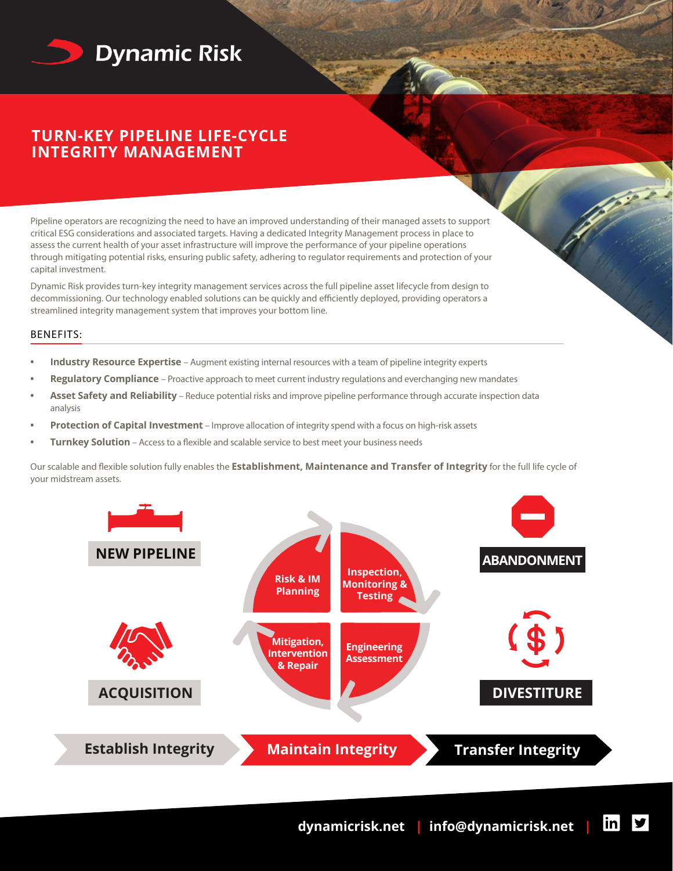

# **TURN-KEY PIPELINE LIFE-CYCLE INTEGRITY MANAGEMENT**

Pipeline operators are recognizing the need to have an improved understanding of their managed assets to support critical ESG considerations and associated targets. Having a dedicated Integrity Management process in place to assess the current health of your asset infrastructure will improve the performance of your pipeline operations through mitigating potential risks, ensuring public safety, adhering to regulator requirements and protection of your capital investment.

Dynamic Risk provides turn-key integrity management services across the full pipeline asset lifecycle from design to decommissioning. Our technology enabled solutions can be quickly and efficiently deployed, providing operators a streamlined integrity management system that improves your bottom line.

## BENEFITS:

- **• Industry Resource Expertise**  Augment existing internal resources with a team of pipeline integrity experts
- **• Regulatory Compliance**  Proactive approach to meet current industry regulations and everchanging new mandates
- **• Asset Safety and Reliability** Reduce potential risks and improve pipeline performance through accurate inspection data analysis
- **• Protection of Capital Investment** Improve allocation of integrity spend with a focus on high-risk assets
- **• Turnkey Solution** Access to a flexible and scalable service to best meet your business needs

Our scalable and flexible solution fully enables the **Establishment, Maintenance and Transfer of Integrity** for the full life cycle of your midstream assets.